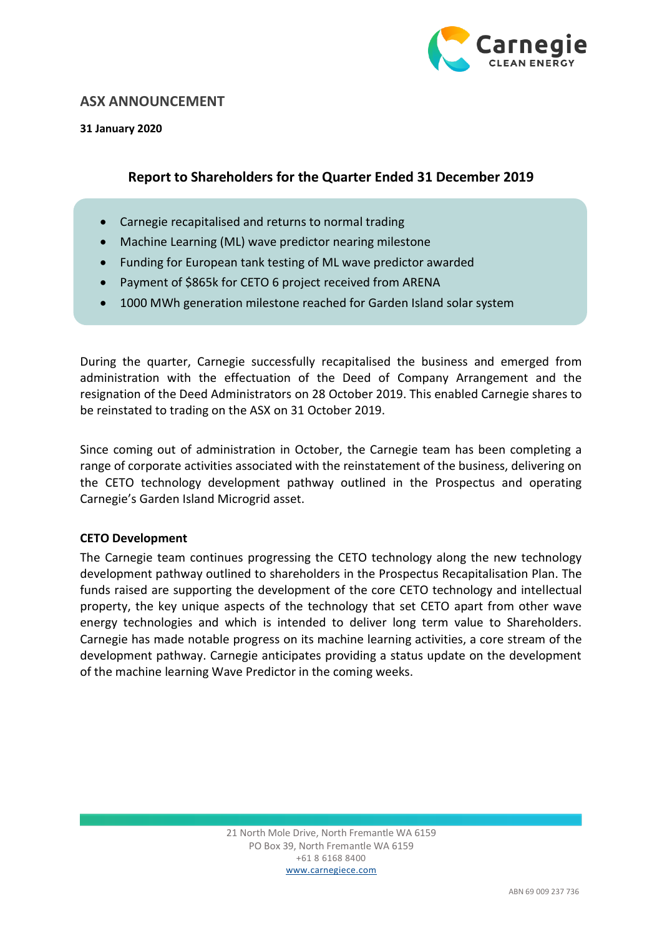

## **ASX ANNOUNCEMENT**

**31 January 2020**

# **Report to Shareholders for the Quarter Ended 31 December 2019**

- Carnegie recapitalised and returns to normal trading
- Machine Learning (ML) wave predictor nearing milestone
- Funding for European tank testing of ML wave predictor awarded
- Payment of \$865k for CETO 6 project received from ARENA
- 1000 MWh generation milestone reached for Garden Island solar system

During the quarter, Carnegie successfully recapitalised the business and emerged from administration with the effectuation of the Deed of Company Arrangement and the resignation of the Deed Administrators on 28 October 2019. This enabled Carnegie shares to be reinstated to trading on the ASX on 31 October 2019.

Since coming out of administration in October, the Carnegie team has been completing a range of corporate activities associated with the reinstatement of the business, delivering on the CETO technology development pathway outlined in the Prospectus and operating Carnegie's Garden Island Microgrid asset.

## **CETO Development**

The Carnegie team continues progressing the CETO technology along the new technology development pathway outlined to shareholders in the Prospectus Recapitalisation Plan. The funds raised are supporting the development of the core CETO technology and intellectual property, the key unique aspects of the technology that set CETO apart from other wave energy technologies and which is intended to deliver long term value to Shareholders. Carnegie has made notable progress on its machine learning activities, a core stream of the development pathway. Carnegie anticipates providing a status update on the development of the machine learning Wave Predictor in the coming weeks.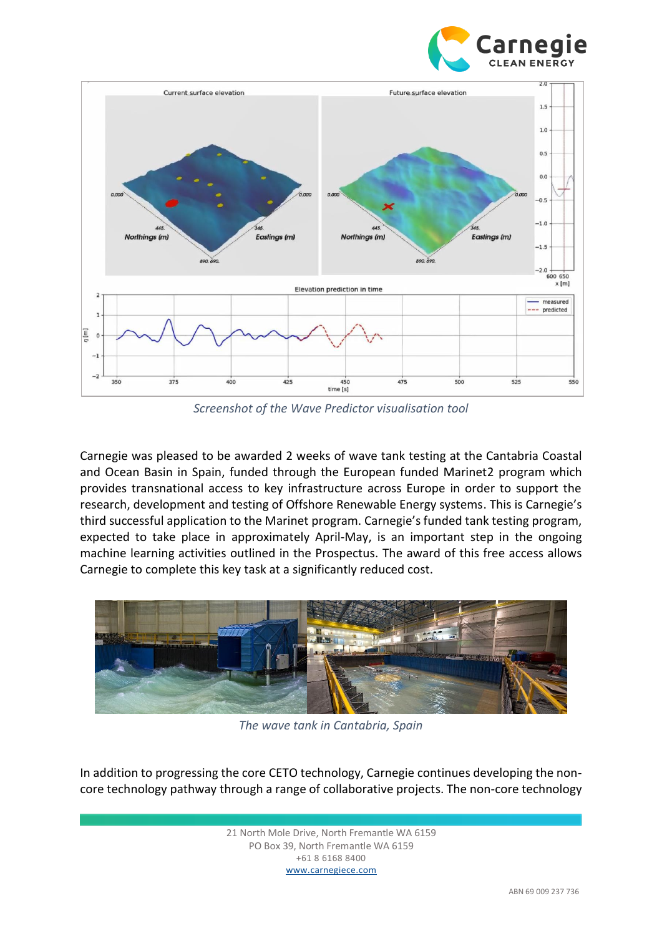



*Screenshot of the Wave Predictor visualisation tool*

Carnegie was pleased to be awarded 2 weeks of wave tank testing at the Cantabria Coastal and Ocean Basin in Spain, funded through the European funded Marinet2 program which provides transnational access to key infrastructure across Europe in order to support the research, development and testing of Offshore Renewable Energy systems. This is Carnegie's third successful application to the Marinet program. Carnegie's funded tank testing program, expected to take place in approximately April-May, is an important step in the ongoing machine learning activities outlined in the Prospectus. The award of this free access allows Carnegie to complete this key task at a significantly reduced cost.



*The wave tank in Cantabria, Spain*

In addition to progressing the core CETO technology, Carnegie continues developing the noncore technology pathway through a range of collaborative projects. The non-core technology

> 21 North Mole Drive, North Fremantle WA 6159 PO Box 39, North Fremantle WA 6159 +61 8 6168 8400 www.carnegiece.com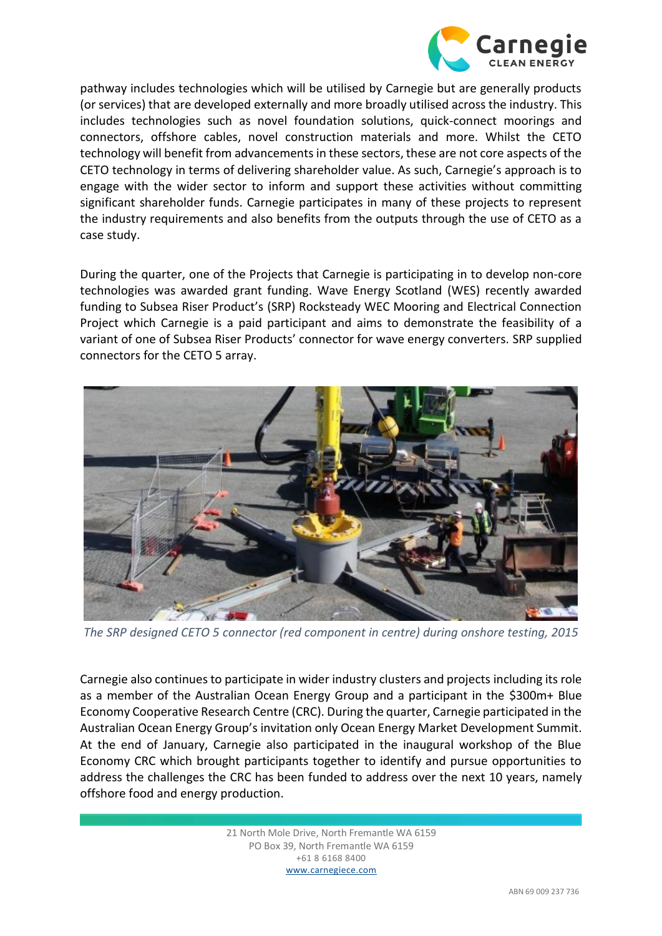

pathway includes technologies which will be utilised by Carnegie but are generally products (or services) that are developed externally and more broadly utilised across the industry. This includes technologies such as novel foundation solutions, quick-connect moorings and connectors, offshore cables, novel construction materials and more. Whilst the CETO technology will benefit from advancements in these sectors, these are not core aspects of the CETO technology in terms of delivering shareholder value. As such, Carnegie's approach is to engage with the wider sector to inform and support these activities without committing significant shareholder funds. Carnegie participates in many of these projects to represent the industry requirements and also benefits from the outputs through the use of CETO as a case study.

During the quarter, one of the Projects that Carnegie is participating in to develop non-core technologies was awarded grant funding. Wave Energy Scotland (WES) recently awarded funding to Subsea Riser Product's (SRP) Rocksteady WEC Mooring and Electrical Connection Project which Carnegie is a paid participant and aims to demonstrate the feasibility of a variant of one of Subsea Riser Products' connector for wave energy converters. SRP supplied connectors for the CETO 5 array.



*The SRP designed CETO 5 connector (red component in centre) during onshore testing, 2015*

Carnegie also continues to participate in wider industry clusters and projects including its role as a member of the Australian Ocean Energy Group and a participant in the \$300m+ Blue Economy Cooperative Research Centre (CRC). During the quarter, Carnegie participated in the Australian Ocean Energy Group's invitation only Ocean Energy Market Development Summit. At the end of January, Carnegie also participated in the inaugural workshop of the Blue Economy CRC which brought participants together to identify and pursue opportunities to address the challenges the CRC has been funded to address over the next 10 years, namely offshore food and energy production.

> 21 North Mole Drive, North Fremantle WA 6159 PO Box 39, North Fremantle WA 6159 +61 8 6168 8400 www.carnegiece.com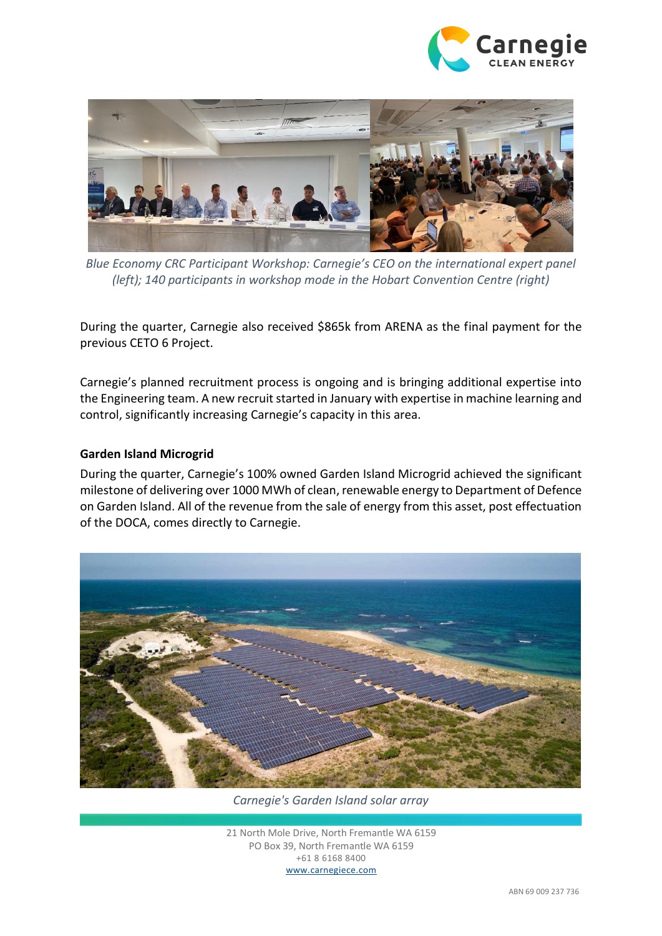



*Blue Economy CRC Participant Workshop: Carnegie's CEO on the international expert panel (left); 140 participants in workshop mode in the Hobart Convention Centre (right)*

During the quarter, Carnegie also received \$865k from ARENA as the final payment for the previous CETO 6 Project.

Carnegie's planned recruitment process is ongoing and is bringing additional expertise into the Engineering team. A new recruit started in January with expertise in machine learning and control, significantly increasing Carnegie's capacity in this area.

### **Garden Island Microgrid**

During the quarter, Carnegie's 100% owned Garden Island Microgrid achieved the significant milestone of delivering over 1000 MWh of clean, renewable energy to Department of Defence on Garden Island. All of the revenue from the sale of energy from this asset, post effectuation of the DOCA, comes directly to Carnegie.



*Carnegie's Garden Island solar array*

21 North Mole Drive, North Fremantle WA 6159 PO Box 39, North Fremantle WA 6159 +61 8 6168 8400 www.carnegiece.com